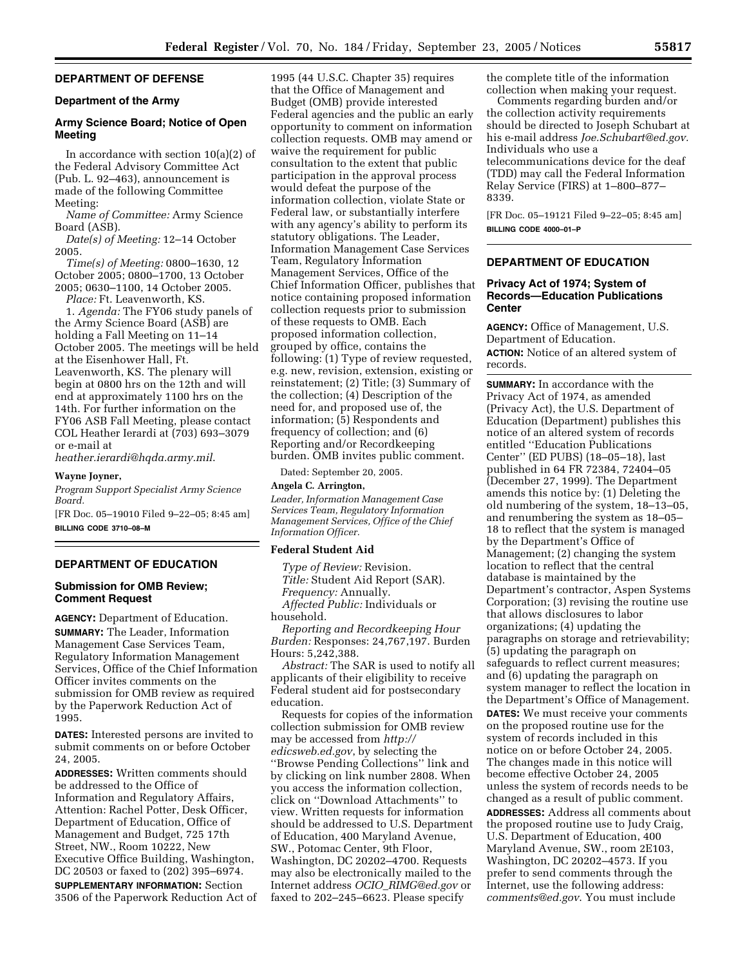# **DEPARTMENT OF DEFENSE**

# **Department of the Army**

## **Army Science Board; Notice of Open Meeting**

In accordance with section  $10(a)(2)$  of the Federal Advisory Committee Act (Pub. L. 92–463), announcement is made of the following Committee Meeting:

*Name of Committee:* Army Science Board (ASB).

*Date(s) of Meeting:* 12–14 October 2005.

*Time(s) of Meeting:* 0800–1630, 12 October 2005; 0800–1700, 13 October 2005; 0630–1100, 14 October 2005.

*Place:* Ft. Leavenworth, KS.

1. *Agenda:* The FY06 study panels of the Army Science Board (ASB) are holding a Fall Meeting on 11–14 October 2005. The meetings will be held at the Eisenhower Hall, Ft. Leavenworth, KS. The plenary will begin at 0800 hrs on the 12th and will end at approximately 1100 hrs on the 14th. For further information on the FY06 ASB Fall Meeting, please contact COL Heather Ierardi at (703) 693–3079 or e-mail at

*heather.ierardi@hqda.army.mil*.

#### **Wayne Joyner,**

*Program Support Specialist Army Science Board.* 

[FR Doc. 05–19010 Filed 9–22–05; 8:45 am] **BILLING CODE 3710–08–M** 

## **DEPARTMENT OF EDUCATION**

## **Submission for OMB Review; Comment Request**

**AGENCY:** Department of Education. **SUMMARY:** The Leader, Information Management Case Services Team, Regulatory Information Management Services, Office of the Chief Information Officer invites comments on the submission for OMB review as required by the Paperwork Reduction Act of 1995.

**DATES:** Interested persons are invited to submit comments on or before October 24, 2005.

**ADDRESSES:** Written comments should be addressed to the Office of Information and Regulatory Affairs, Attention: Rachel Potter, Desk Officer, Department of Education, Office of Management and Budget, 725 17th Street, NW., Room 10222, New Executive Office Building, Washington, DC 20503 or faxed to (202) 395–6974.

**SUPPLEMENTARY INFORMATION:** Section 3506 of the Paperwork Reduction Act of

1995 (44 U.S.C. Chapter 35) requires that the Office of Management and Budget (OMB) provide interested Federal agencies and the public an early opportunity to comment on information collection requests. OMB may amend or waive the requirement for public consultation to the extent that public participation in the approval process would defeat the purpose of the information collection, violate State or Federal law, or substantially interfere with any agency's ability to perform its statutory obligations. The Leader, Information Management Case Services Team, Regulatory Information Management Services, Office of the Chief Information Officer, publishes that notice containing proposed information collection requests prior to submission of these requests to OMB. Each proposed information collection, grouped by office, contains the following: (1) Type of review requested, e.g. new, revision, extension, existing or reinstatement; (2) Title; (3) Summary of the collection; (4) Description of the need for, and proposed use of, the information; (5) Respondents and frequency of collection; and (6) Reporting and/or Recordkeeping burden. OMB invites public comment.

Dated: September 20, 2005.

#### **Angela C. Arrington,**

*Leader, Information Management Case Services Team, Regulatory Information Management Services, Office of the Chief Information Officer.* 

#### **Federal Student Aid**

*Type of Review:* Revision. *Title:* Student Aid Report (SAR). *Frequency:* Annually.

*Affected Public:* Individuals or household.

*Reporting and Recordkeeping Hour Burden:* Responses: 24,767,197. Burden Hours: 5,242,388.

*Abstract:* The SAR is used to notify all applicants of their eligibility to receive Federal student aid for postsecondary education.

Requests for copies of the information collection submission for OMB review may be accessed from *http:// edicsweb.ed.gov*, by selecting the ''Browse Pending Collections'' link and by clicking on link number 2808. When you access the information collection, click on ''Download Attachments'' to view. Written requests for information should be addressed to U.S. Department of Education, 400 Maryland Avenue, SW., Potomac Center, 9th Floor, Washington, DC 20202–4700. Requests may also be electronically mailed to the Internet address *OCIO*\_*RIMG@ed.gov* or faxed to 202–245–6623. Please specify

the complete title of the information collection when making your request.

Comments regarding burden and/or the collection activity requirements should be directed to Joseph Schubart at his e-mail address *Joe.Schubart@ed.gov.*  Individuals who use a

telecommunications device for the deaf (TDD) may call the Federal Information Relay Service (FIRS) at 1–800–877– 8339.

[FR Doc. 05–19121 Filed 9–22–05; 8:45 am] **BILLING CODE 4000–01–P** 

# **DEPARTMENT OF EDUCATION**

## **Privacy Act of 1974; System of Records—Education Publications Center**

**AGENCY:** Office of Management, U.S. Department of Education. **ACTION:** Notice of an altered system of records.

**SUMMARY:** In accordance with the Privacy Act of 1974, as amended (Privacy Act), the U.S. Department of Education (Department) publishes this notice of an altered system of records entitled ''Education Publications Center'' (ED PUBS) (18–05–18), last published in 64 FR 72384, 72404–05 (December 27, 1999). The Department amends this notice by: (1) Deleting the old numbering of the system, 18–13–05, and renumbering the system as 18–05– 18 to reflect that the system is managed by the Department's Office of Management; (2) changing the system location to reflect that the central database is maintained by the Department's contractor, Aspen Systems Corporation; (3) revising the routine use that allows disclosures to labor organizations; (4) updating the paragraphs on storage and retrievability; (5) updating the paragraph on safeguards to reflect current measures; and (6) updating the paragraph on system manager to reflect the location in the Department's Office of Management. **DATES:** We must receive your comments on the proposed routine use for the system of records included in this notice on or before October 24, 2005. The changes made in this notice will become effective October 24, 2005 unless the system of records needs to be changed as a result of public comment. **ADDRESSES:** Address all comments about the proposed routine use to Judy Craig, U.S. Department of Education, 400 Maryland Avenue, SW., room 2E103, Washington, DC 20202–4573. If you prefer to send comments through the Internet, use the following address: *comments@ed.gov*. You must include